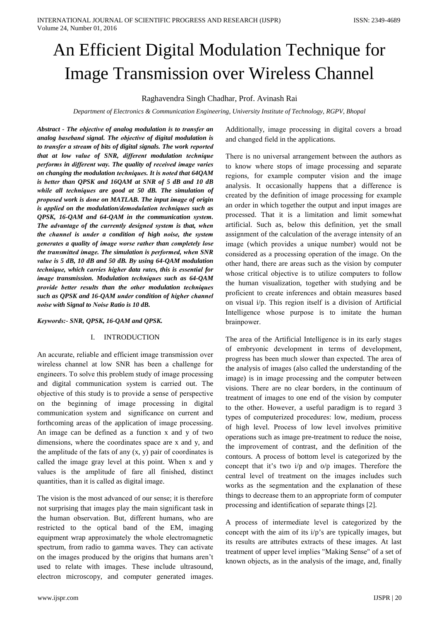# An Efficient Digital Modulation Technique for **Image Transmission over Wireless Channel**

# Raghavendra Singh Chadhar, Prof. Avinash Rai

Department of Electronics & Communication Engineering, University Institute of Technology, RGPV, Bhopal

Abstract - The objective of analog modulation is to transfer an analog baseband signal. The objective of digital modulation is to transfer a stream of bits of digital signals. The work reported that at low value of SNR, different modulation technique performs in different way. The quality of received image varies on changing the modulation techniques. It is noted that 64QAM is better than QPSK and 16QAM at SNR of 5 dB and 10 dB while all techniques are good at 50 dB. The simulation of proposed work is done on MATLAB. The input image of origin is applied on the modulation/demodulation techniques such as OPSK, 16-OAM and 64-OAM in the communication system. The advantage of the currently designed system is that, when the channel is under a condition of high noise, the system generates a quality of image worse rather than completely lose the transmitted image. The simulation is performed, when SNR value is 5 dB, 10 dB and 50 dB. By using 64-QAM modulation technique, which carries higher data rates, this is essential for image transmission. Modulation techniques such as 64-QAM provide better results than the other modulation techniques such as OPSK and 16-OAM under condition of higher channel noise with Signal to Noise Ratio is 10 dB.

# Kevwords:- SNR, OPSK, 16-OAM and OPSK.

#### **INTRODUCTION** I.

An accurate, reliable and efficient image transmission over wireless channel at low SNR has been a challenge for engineers. To solve this problem study of image processing and digital communication system is carried out. The objective of this study is to provide a sense of perspective on the beginning of image processing in digital communication system and significance on current and forthcoming areas of the application of image processing. An image can be defined as a function x and y of two dimensions, where the coordinates space are x and y, and the amplitude of the fats of any  $(x, y)$  pair of coordinates is called the image gray level at this point. When x and y values is the amplitude of fare all finished, distinct quantities, than it is called as digital image.

The vision is the most advanced of our sense; it is therefore not surprising that images play the main significant task in the human observation. But, different humans, who are restricted to the optical band of the EM, imaging equipment wrap approximately the whole electromagnetic spectrum, from radio to gamma waves. They can activate on the images produced by the origins that humans aren't used to relate with images. These include ultrasound, electron microscopy, and computer generated images.

Additionally, image processing in digital covers a broad and changed field in the applications.

There is no universal arrangement between the authors as to know where stops of image processing and separate regions, for example computer vision and the image analysis. It occasionally happens that a difference is created by the definition of image processing for example an order in which together the output and input images are processed. That it is a limitation and limit somewhat artificial. Such as, below this definition, yet the small assignment of the calculation of the average intensity of an image (which provides a unique number) would not be considered as a processing operation of the image. On the other hand, there are areas such as the vision by computer whose critical objective is to utilize computers to follow the human visualization, together with studying and be proficient to create inferences and obtain measures based on visual i/p. This region itself is a division of Artificial Intelligence whose purpose is to imitate the human brainpower.

The area of the Artificial Intelligence is in its early stages of embryonic development in terms of development, progress has been much slower than expected. The area of the analysis of images (also called the understanding of the image) is in image processing and the computer between visions. There are no clear borders, in the continuum of treatment of images to one end of the vision by computer to the other. However, a useful paradigm is to regard 3 types of computerized procedures: low, medium, process of high level. Process of low level involves primitive operations such as image pre-treatment to reduce the noise, the improvement of contrast, and the definition of the contours. A process of bottom level is categorized by the concept that it's two i/p and o/p images. Therefore the central level of treatment on the images includes such works as the segmentation and the explanation of these things to decrease them to an appropriate form of computer processing and identification of separate things [2].

A process of intermediate level is categorized by the concept with the aim of its  $i/p$ 's are typically images, but its results are attributes extracts of these images. At last treatment of upper level implies "Making Sense" of a set of known objects, as in the analysis of the image, and, finally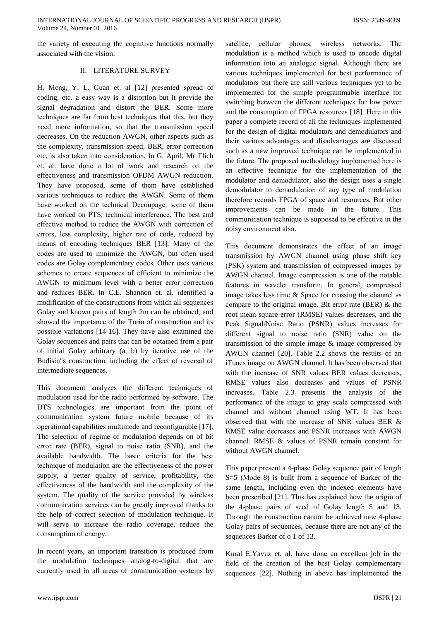the variety of executing the cognitive functions normally associated with the vision.

# **II. LITERATURE SURVEY**

H. Meng, Y. L. Guan et. al [12] presented spread of coding, etc. a easy way is a distortion but it provide the signal degradation and distort the BER. Some more techniques are far from best techniques that this, but they need more information, so that the transmission speed decreases. On the reduction AWGN, other aspects such as the complexity, transmission speed, BER, error correction etc. is also taken into consideration. In G. April, Mr Tlich et. al. have done a lot of work and research on the effectiveness and transmission OFDM AWGN reduction. They have proposed, some of them have established various techniques to reduce the AWGN. Some of them have worked on the technical Decoupage; some of them have worked on PTS, technical interference. The best and effective method to reduce the AWGN with correction of errors, less complexity, higher rate of code, reduced by means of encoding techniques BER [13]. Many of the codes are used to minimize the AWGN, but often used codes are Golay complementary codes. Other uses various schemes to create sequences of efficient to minimize the AWGN to minimum level with a better error correction and reduces BER. In C.E. Shannon et. al. identified a modification of the constructions from which all sequences Golay and known pairs of length 2m can be obtained, and showed the importance of the Turin of construction and its possible variations [14-16]. They have also examined the Golay sequences and pairs that can be obtained from a pair of initial Golay arbitrary (a, b) by iterative use of the Budisin"s construction, including the effect of reversal of intermediate sequences.

This document analyzes the different techniques of modulation used for the radio performed by software. The DTS technologies are important from the point of communication system future mobile because of its operational capabilities multimode and reconfigurable [17]. The selection of regime of modulation depends on of bit error rate (BER), signal to noise ratio (SNR), and the available bandwidth. The basic criteria for the best technique of modulation are the effectiveness of the power supply, a better quality of service, profitability, the effectiveness of the bandwidth and the complexity of the system. The quality of the service provided by wireless communication services can be greatly improved thanks to the help of correct selection of modulation technique. It will serve to increase the radio coverage, reduce the consumption of energy.

In recent years, an important transition is produced from the modulation techniques analog-to-digital that are currently used in all areas of communication systems by satellite, cellular phones, wireless networks. The modulation is a method which is used to encode digital information into an analogue signal. Although there are various techniques implemented for best performance of modulators but there are still various techniques yet to be implemented for the simple programmable interface for switching between the different techniques for low power and the consumption of FPGA resources [18]. Here in this paper a complete record of all the techniques implemented for the design of digital modulators and demodulators and their various advantages and disadvantages are discussed such as a new improved technique can be implemented in the future. The proposed methodology implemented here is an effective technique for the implementation of the modulator and demodulator, also the design uses a single demodulator to demodulation of any type of modulation therefore records FPGA of space and resources. But other improvements can be made in the future. This communication technique is supposed to be effective in the noisy environment also.

This document demonstrates the effect of an image transmission by AWGN channel using phase shift key (PSK) system and transmission of compressed images by AWGN channel. Image compression is one of the notable features in wavelet transform. In general, compressed image takes less time & Space for crossing the channel as compare to the original image. Bit error rate (BER)  $\&$  the root mean square error (RMSE) values decreases, and the Peak Signal/Noise Ratio (PSNR) values increases for different signal to noise ratio (SNR) value on the transmission of the simple image  $\&$  image compressed by AWGN channel [20]. Table 2.2 shows the results of an iTunes image on AWGN channel. It has been observed that with the increase of SNR values BER values decreases, RMSE values also decreases and values of PSNR increases. Table 2.3 presents the analysis of the performance of the image to gray scale compressed with channel and without channel using WT. It has been observed that with the increase of SNR values BER & RMSE value decreases and PSNR increases with AWGN channel. RMSE & values of PSNR remain constant for without AWGN channel.

This paper present a 4-phase Golay sequence pair of length  $S=5$  (Mode 8) is built from a sequence of Barker of the same length, including even the indexed elements have been prescribed [21]. This has explained how the origin of the 4-phase pairs of seed of Golay length 5 and 13. Through the construction cannot be achieved new 4-phase Golay pairs of sequences, because there are not any of the sequences Barker of o 1 of 13.

Kural E.Yavuz et. al. have done an excellent job in the field of the creation of the best Golay complementary sequences [22]. Nothing in above has implemented the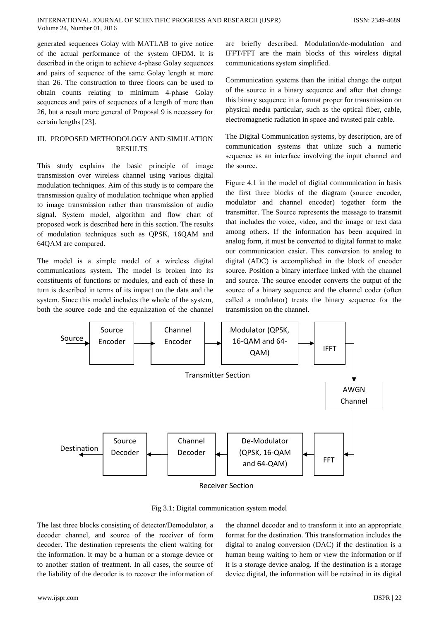generated sequences Golay with MATLAB to give notice of the actual performance of the system OFDM. It is described in the origin to achieve 4-phase Golay sequences and pairs of sequence of the same Golay length at more than 26. The construction to three floors can be used to obtain counts relating to minimum 4-phase Golay sequences and pairs of sequences of a length of more than 26, but a result more general of Proposal 9 is necessary for certain lengths [23].

# III. PROPOSED METHODOLOGY AND SIMULATION **RESULTS**

This study explains the basic principle of image transmission over wireless channel using various digital modulation techniques. Aim of this study is to compare the transmission quality of modulation technique when applied to image transmission rather than transmission of audio signal. System model, algorithm and flow chart of proposed work is described here in this section. The results of modulation techniques such as QPSK, 16QAM and 64QAM are compared.

The model is a simple model of a wireless digital communications system. The model is broken into its constituents of functions or modules, and each of these in turn is described in terms of its impact on the data and the system. Since this model includes the whole of the system, both the source code and the equalization of the channel are briefly described. Modulation/de-modulation and IFFT/FFT are the main blocks of this wireless digital communications system simplified.

Communication systems than the initial change the output of the source in a binary sequence and after that change this binary sequence in a format proper for transmission on physical media particular, such as the optical fiber, cable, electromagnetic radiation in space and twisted pair cable.

The Digital Communication systems, by description, are of communication systems that utilize such a numeric sequence as an interface involving the input channel and the source.

Figure 4.1 in the model of digital communication in basis the first three blocks of the diagram (source encoder, modulator and channel encoder) together form the transmitter. The Source represents the message to transmit that includes the voice, video, and the image or text data among others. If the information has been acquired in analog form, it must be converted to digital format to make our communication easier. This conversion to analog to digital (ADC) is accomplished in the block of encoder source. Position a binary interface linked with the channel and source. The source encoder converts the output of the source of a binary sequence and the channel coder (often called a modulator) treats the binary sequence for the transmission on the channel.



Fig 3.1: Digital communication system model

The last three blocks consisting of detector/Demodulator, a decoder channel, and source of the receiver of form decoder. The destination represents the client waiting for the information. It may be a human or a storage device or to another station of treatment. In all cases, the source of the liability of the decoder is to recover the information of

the channel decoder and to transform it into an appropriate format for the destination. This transformation includes the digital to analog conversion (DAC) if the destination is a human being waiting to hem or view the information or if it is a storage device analog. If the destination is a storage device digital, the information will be retained in its digital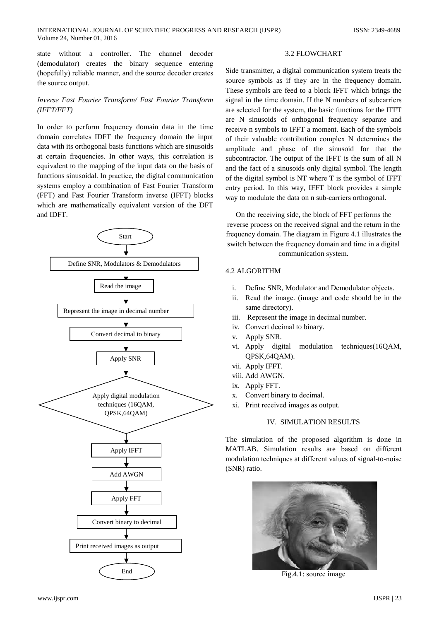without a controller. The channel state decoder (demodulator) creates the binary sequence entering (hopefully) reliable manner, and the source decoder creates the source output.

# Inverse Fast Fourier Transform/ Fast Fourier Transform  $(IFFT/FFT)$

In order to perform frequency domain data in the time domain correlates IDFT the frequency domain the input data with its orthogonal basis functions which are sinusoids at certain frequencies. In other ways, this correlation is equivalent to the mapping of the input data on the basis of functions sinusoidal. In practice, the digital communication systems employ a combination of Fast Fourier Transform (FFT) and Fast Fourier Transform inverse (IFFT) blocks which are mathematically equivalent version of the DFT and IDFT.



# **3.2 FLOWCHART**

Side transmitter, a digital communication system treats the source symbols as if they are in the frequency domain. These symbols are feed to a block IFFT which brings the signal in the time domain. If the N numbers of subcarriers are selected for the system, the basic functions for the IFFT are N sinusoids of orthogonal frequency separate and receive n symbols to IFFT a moment. Each of the symbols of their valuable contribution complex N determines the amplitude and phase of the sinusoid for that the subcontractor. The output of the IFFT is the sum of all N and the fact of a sinusoids only digital symbol. The length of the digital symbol is NT where T is the symbol of IFFT entry period. In this way, IFFT block provides a simple way to modulate the data on n sub-carriers orthogonal.

On the receiving side, the block of FFT performs the reverse process on the received signal and the return in the frequency domain. The diagram in Figure 4.1 illustrates the switch between the frequency domain and time in a digital communication system.

# **4.2 ALGORITHM**

- Define SNR, Modulator and Demodulator objects.  $\mathbf{i}$ .
- $ii.$ Read the image. (image and code should be in the same directory).
- iii. Represent the image in decimal number.
- iv. Convert decimal to binary.
- Apply SNR.  $V_{\odot}$
- vi. Apply digital modulation techniques(16QAM, QPSK,64QAM).
- vii. Apply IFFT.
- viii. Add AWGN.
- ix. Apply FFT.
- Convert binary to decimal.  $\mathbf{x}$ .
- xi. Print received images as output.

# **IV. SIMULATION RESULTS**

The simulation of the proposed algorithm is done in MATLAB. Simulation results are based on different modulation techniques at different values of signal-to-noise (SNR) ratio.



Fig.4.1: source image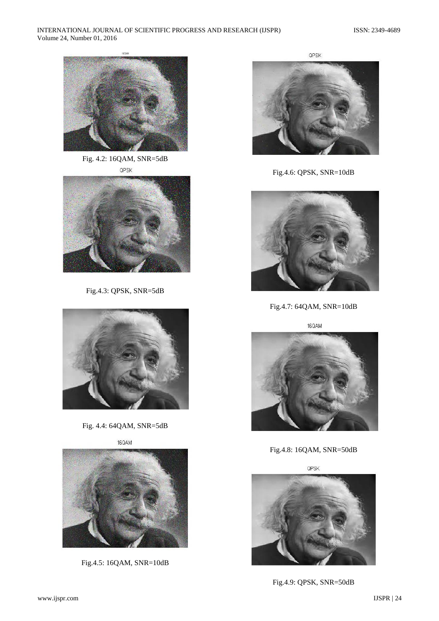

Fig. 4.2: 16QAM, SNR=5dB QPSK



Fig.4.3: QPSK, SNR=5dB



Fig. 4.4: 64QAM, SNR=5dB

16QAM



Fig.4.5: 16QAM, SNR=10dB



Fig.4.6: QPSK, SNR=10dB



Fig.4.7: 64QAM, SNR=10dB

16QAM



Fig.4.8: 16QAM, SNR=50dB

QPSK



Fig.4.9: QPSK, SNR=50dB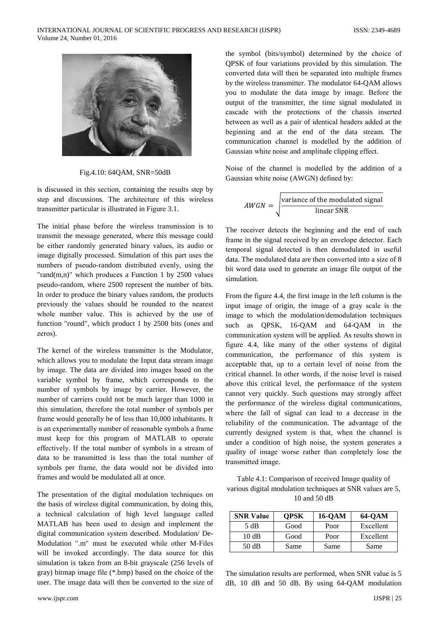

Fig.4.10: 64QAM, SNR=50dB

is discussed in this section, containing the results step by step and discussions. The architecture of this wireless transmitter particular is illustrated in Figure 3.1.

The initial phase before the wireless transmission is to transmit the message generated, where this message could be either randomly generated binary values, its audio or image digitally processed. Simulation of this part uses the numbers of pseudo-random distributed evenly, using the "rand $(m,n)$ " which produces a Function 1 by 2500 values pseudo-random, where 2500 represent the number of bits. In order to produce the binary values random, the products previously the values should be rounded to the nearest whole number value. This is achieved by the use of function "round", which product 1 by 2500 bits (ones and zeros).

The kernel of the wireless transmitter is the Modulator. which allows you to modulate the Input data stream image by image. The data are divided into images based on the variable symbol by frame, which corresponds to the number of symbols by image by carrier. However, the number of carriers could not be much larger than 1000 in this simulation, therefore the total number of symbols per frame would generally be of less than 10,000 inhabitants. It is an experimentally number of reasonable symbols a frame must keep for this program of MATLAB to operate effectively. If the total number of symbols in a stream of data to be transmitted is less than the total number of symbols per frame, the data would not be divided into frames and would be modulated all at once.

The presentation of the digital modulation techniques on the basis of wireless digital communication, by doing this, a technical calculation of high level language called MATLAB has been used to design and implement the digital communication system described. Modulation/ De-Modulation ".m" must be executed while other M-Files will be invoked accordingly. The data source for this simulation is taken from an 8-bit grayscale (256 levels of gray) bitmap image file (\*.bmp) based on the choice of the user. The image data will then be converted to the size of the symbol (bits/symbol) determined by the choice of QPSK of four variations provided by this simulation. The converted data will then be separated into multiple frames by the wireless transmitter. The modulator 64-QAM allows you to modulate the data image by image. Before the output of the transmitter, the time signal modulated in cascade with the protections of the chassis inserted between as well as a pair of identical headers added at the beginning and at the end of the data stream. The communication channel is modelled by the addition of Gaussian white noise and amplitude clipping effect.

Noise of the channel is modelled by the addition of a Gaussian white noise (AWGN) defined by:

$$
AWGN = \sqrt{\frac{\text{variance of the modulated signal}}{\text{linear SNR}}}
$$

The receiver detects the beginning and the end of each frame in the signal received by an envelope detector. Each temporal signal detected is then demodulated in useful data. The modulated data are then converted into a size of 8 bit word data used to generate an image file output of the simulation.

From the figure 4.4, the first image in the left column is the input image of origin, the image of a gray scale is the image to which the modulation/demodulation techniques such as QPSK, 16-QAM and 64-QAM in the communication system will be applied. As results shown in figure 4.4, like many of the other systems of digital communication, the performance of this system is acceptable that, up to a certain level of noise from the critical channel. In other words, if the noise level is raised above this critical level, the performance of the system cannot very quickly. Such questions may strongly affect the performance of the wireless digital communications, where the fall of signal can lead to a decrease in the reliability of the communication. The advantage of the currently designed system is that, when the channel is under a condition of high noise, the system generates a quality of image worse rather than completely lose the transmitted image.

Table 4.1: Comparison of received Image quality of various digital modulation techniques at SNR values are 5, 10 and 50 dB

| <b>SNR Value</b> | <b>OPSK</b> | 16-OAM | <b>64-OAM</b> |
|------------------|-------------|--------|---------------|
| 5 dB             | Good        | Poor   | Excellent     |
| 10dB             | Good        | Poor   | Excellent     |
| 50 dB            | Same        | Same   | Same          |

The simulation results are performed, when SNR value is 5 dB, 10 dB and 50 dB. By using 64-QAM modulation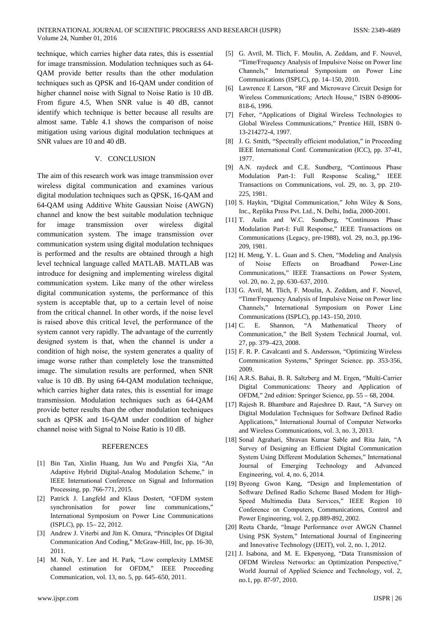technique, which carries higher data rates, this is essential for image transmission. Modulation techniques such as 64-QAM provide better results than the other modulation techniques such as QPSK and 16-QAM under condition of higher channel noise with Signal to Noise Ratio is 10 dB. From figure 4.5, When SNR value is 40 dB, cannot identify which technique is better because all results are almost same. Table 4.1 shows the comparison of noise mitigation using various digital modulation techniques at SNR values are 10 and 40 dB.

# V. CONCLUSION

The aim of this research work was image transmission over wireless digital communication and examines various digital modulation techniques such as QPSK, 16-QAM and 64-QAM using Additive White Gaussian Noise (AWGN) channel and know the best suitable modulation technique image for transmission over wireless digital communication system. The image transmission over communication system using digital modulation techniques is performed and the results are obtained through a high level technical language called MATLAB. MATLAB was introduce for designing and implementing wireless digital communication system. Like many of the other wireless digital communication systems, the performance of this system is acceptable that, up to a certain level of noise from the critical channel. In other words, if the noise level is raised above this critical level, the performance of the system cannot very rapidly. The advantage of the currently designed system is that, when the channel is under a condition of high noise, the system generates a quality of image worse rather than completely lose the transmitted image. The simulation results are performed, when SNR value is 10 dB. By using 64-QAM modulation technique, which carries higher data rates, this is essential for image transmission. Modulation techniques such as 64-OAM provide better results than the other modulation techniques such as QPSK and 16-QAM under condition of higher channel noise with Signal to Noise Ratio is 10 dB.

### **REFERENCES**

- [1] Bin Tan, Xinlin Huang, Jun Wu and Pengfei Xia, "An Adaptive Hybrid Digital-Analog Modulation Scheme," in IEEE International Conference on Signal and Information Processing, pp. 766-771, 2015.
- [2] Patrick J. Langfeld and Klaus Dostert, "OFDM system synchronisation for power line communications," International Symposium on Power Line Communications (ISPLC), pp. 15 - 22, 2012.
- [3] Andrew J. Viterbi and Jim K. Omura, "Principles Of Digital Communication And Coding," McGraw-Hill, Inc, pp. 16-30, 2011.
- [4] M. Noh, Y. Lee and H. Park, "Low complexity LMMSE channel estimation for OFDM," IEEE Proceeding Communication, vol. 13, no. 5, pp. 645–650, 2011.
- [5] G. Avril, M. Tlich, F. Moulin, A. Zeddam, and F. Nouvel, "Time/Frequency Analysis of Impulsive Noise on Power line Channels," International Symposium on Power Line Communications (ISPLC), pp. 14-150, 2010.
- [6] Lawrence E Larson, "RF and Microwave Circuit Design for Wireless Communications; Artech House," ISBN 0-89006-818-6, 1996.
- [7] Feher, "Applications of Digital Wireless Technologies to Global Wireless Communications," Prentice Hill, ISBN 0-13-214272-4, 1997.
- [8] J. G. Smith, "Spectrally efficient modulation," in Proceeding IEEE International Conf. Communication (ICC), pp. 37-41, 1977.
- [9] A.N. raydeck and C.E. Sundberg, "Continuous Phase Modulation Part-1: Full Response Scaling," IEEE Transactions on Communications, vol. 29, no. 3, pp. 210-225, 1981.
- [10] S. Haykin, "Digital Communication," John Wiley & Sons, Inc., Replika Press Pvt. Ltd., N. Delhi, India, 2000-2001.
- [11] T. Aulin and W.C. Sundberg, "Continuous Phase Modulation Part-I: Full Response," IEEE Transactions on Communications (Legacy, pre-1988), vol. 29, no.3, pp.196-209, 1981.
- [12] H. Meng, Y. L. Guan and S. Chen, "Modeling and Analysis  $\alpha$ **Noise** Effects **Broadband** Power-Line  $of$ Communications," IEEE Transactions on Power System, vol. 20, no. 2, pp. 630–637, 2010.
- [13] G. Avril, M. Tlich, F. Moulin, A. Zeddam, and F. Nouvel, "Time/Frequency Analysis of Impulsive Noise on Power line Channels," International Symposium on Power Line Communications (ISPLC), pp.143-150, 2010.
- $[14]$  C. **E.** Shannon, "A Mathematical Theory of Communication," the Bell System Technical Journal, vol. 27, pp. 379-423, 2008.
- [15] F. R. P. Cavalcanti and S. Andersson, "Optimizing Wireless Communication Systems," Springer Science. pp. 353-356, 2009.
- [16] A.R.S. Bahai, B. R. Saltzberg and M. Ergen, "Multi-Carrier Digital Communications: Theory and Application of OFDM," 2nd edition: Springer Science, pp. 55 – 68, 2004.
- [17] Rajesh R. Bhambare and Rajeshree D. Raut, "A Survey on Digital Modulation Techniques for Software Defined Radio Applications," International Journal of Computer Networks and Wireless Communications, vol. 3, no. 3, 2013.
- [18] Sonal Agrahari, Shravan Kumar Sable and Rita Jain, "A Survey of Designing an Efficient Digital Communication System Using Different Modulation Schemes," International Journal of Emerging Technology and Advanced Engineering, vol. 4, no. 6, 2014.
- [19] Byeong Gwon Kang, "Design and Implementation of Software Defined Radio Scheme Based Modem for High-Speed Multimedia Data Services," IEEE Region 10 Conference on Computers, Communications, Control and Power Engineering, vol. 2, pp.889-892, 2002.
- [20] Reeta Charde, "Image Performance over AWGN Channel Using PSK System," International Journal of Engineering and Innovative Technology (IJEIT), vol. 2, no. 1, 2012.
- [21] J. Isabona, and M. E. Ekpenyong, "Data Transmission of OFDM Wireless Networks: an Optimization Perspective," World Journal of Applied Science and Technology, vol. 2, no.1, pp. 87-97, 2010.